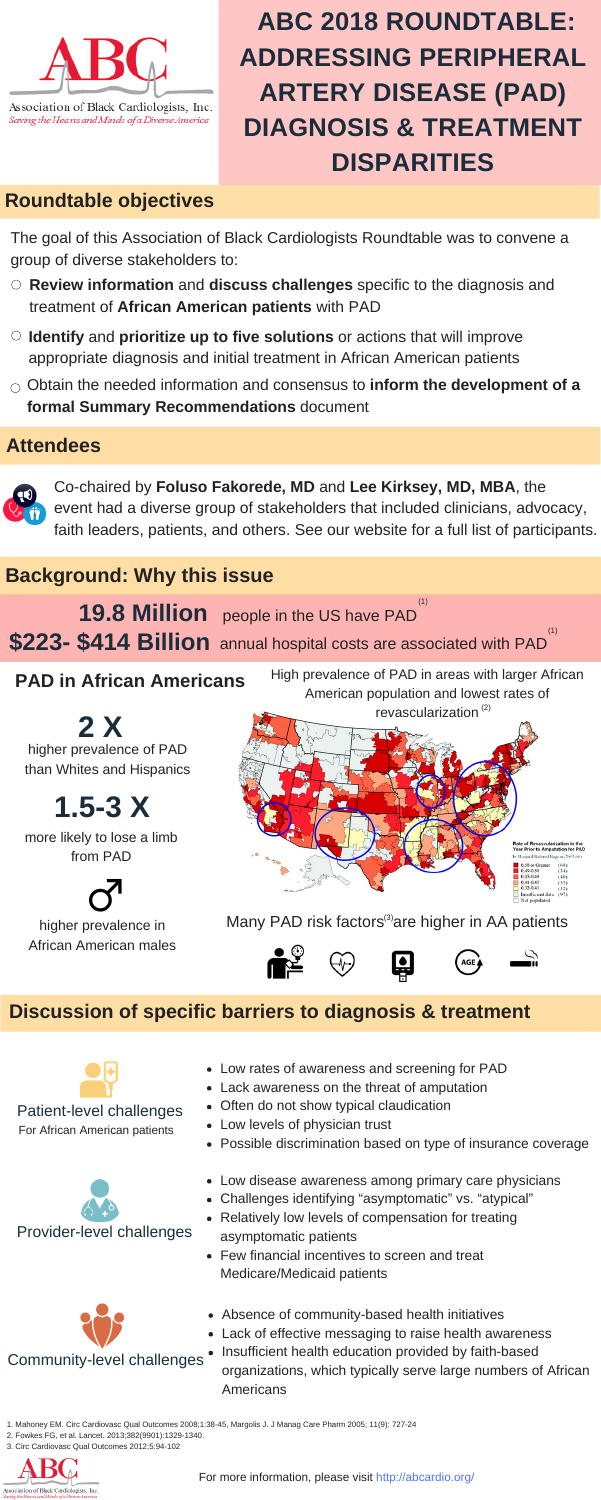

Association of Black Cardiologists, Inc. Saving the Heans and Minds of a Diverse America

### **PAD in African Americans**

more likely to lose a limb from PAD



higher prevalence in African American males

## Many PAD risk factors $(3)$ are higher in AA patients









higher prevalence of PAD than Whites and Hispanics **2 X**

# **1.5-3 X**

## **Background: Why this issue**

High prevalence of PAD in areas with larger African American population and lowest rates of

## **Roundtable objectives**

The goal of this Association of Black Cardiologists Roundtable was to convene a group of diverse stakeholders to:

### **Discussion of specific barriers to diagnosis & treatment**



Patient-level challenges





For African American patients





**19.8 Million** people in the US have PAD **\$223- \$414 Billion** annual hospital costs are associated with PAD (1) (1)

- **Review information** and **discuss challenges** specific to the diagnosis and treatment of **African American patients** with PAD
- **Identify** and **prioritize up to five solutions** or actions that will improve appropriate diagnosis and initial treatment in African American patients
- Obtain the needed information and consensus to **inform the development of a formal Summary Recommendations** document

- Low rates of awareness and screening for PAD
- Lack awareness on the threat of amputation
- Often do not show typical claudication
- Low levels of physician trust
- Possible discrimination based on type of insurance coverage
- Low disease awareness among primary care physicians
- Challenges identifying "asymptomatic" vs. "atypical"
- Relatively low levels of compensation for treating asymptomatic patients
- Few financial incentives to screen and treat Medicare/Medicaid patients
- Absence of community-based health initiatives
- Lack of effective messaging to raise health awareness
- ningt<u>y-ningty-nine percent percent percent percent percent percent percent percent percent percent percent per</u> of Maldives is water. • Insufficient health education provided by faith-based organizations, which typically serve large numbers of African Americans

# **ABC 2018 ROUNDTABLE: ADDRESSING PERIPHERAL ARTERY DISEASE (PAD) DIAGNOSIS & TREATMENT DISPARITIES**

1. Mahoney EM. Circ Cardiovasc Qual Outcomes 2008;1:38-45, Margolis J. J Manag Care Pharm 2005; 11(9): 727-24

- 2. Fowkes FG, et al. Lancet. 2013;382(9901):1329-1340.
- 3. Circ Cardiovasc Qual Outcomes 2012;5:94-102



For more information, please visit http://abcardio.org/

### **Attendees**



Co-chaired by **Foluso Fakorede, MD** and **Lee Kirksey, MD, MBA**, the event had a diverse group of stakeholders that included clinicians, advocacy, faith leaders, patients, and others. See our website for a full list of participants.